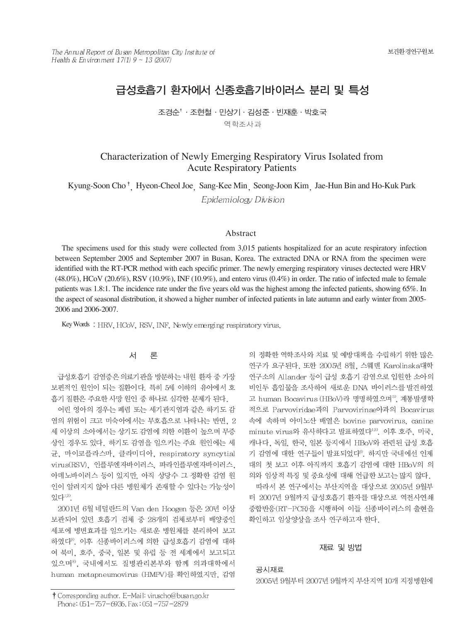# 급성호흡기 환자에서 신종호흡기바이러스 분리 및 특성

조경수 하조현철 · 민상기 · 김성준 · 빈재훈 · 박호국 역학조사과

# Characterization of Newly Emerging Respiratory Virus Isolated from Acute Respiratory Patients

Kyung-Soon Cho<sup>†</sup> Hyeon-Cheol Joe Sang-Kee Min Seong-Joon Kim Jae-Hun Bin and Ho-Kuk Park

Epidemiology Division

#### Abstract

The specimens used for this study were collected from 3,015 patients hospitalized for an acute respiratory infection between September 2005 and September 2007 in Busan, Korea. The extracted DNA or RNA from the specimen were identified with the RT-PCR method with each specific primer. The newly emerging respiratory viruses dectected were HRV (48.0%), HCoV (20.6%), RSV (10.9%), INF (10.9%), and entero virus (0.4%) in order. The ratio of infected male to female patients was 1.8:1. The incidence rate under the five years old was the highest among the infected patients, showing 65%. In the aspect of seasonal distribution, it showed a higher number of infected patients in late autumn and early winter from 2005- 2006 and 2006-2007.

Key Words: HRV, HCoV, RSV, INF, Newly emerging respiratory virus.

#### 서 론

급성호흡기 감염증은 의료기관을 방문하는 내원 환자 중 가장 보편적인 원인이 되는 질환이다. 특히 5세 이하의 유아에서 호 흡기 질환은 주요한 사망 원인 중 하나로 심각한 문제가 된다.

어린 영아의 경우는 폐렴 또는 세기관지염과 같은 하기도 감 염의 위험이 크고 미숙아에서는 무호흡으로 나타나는 반면, 2 세 이상의 소아에서는 상기도 감염에 의한 이환이 높으며 무증 상인 경우도 있다. 하기도 감염을 일으키는 주요 원인에는 세 균, 마이코플라스마, 클라미디아, respiratory syncytial virus(RSV), 인플루엔자바이러스, 파라인플루엔자바이러스, 아데노바이러스 등이 있지만, 아직 상당수 그 정확한 감염 원 인이 알려지지 않아 다른 병원체가 존재할 수 있다는 가능성이 있다<sup>1,2)</sup>.

2001년 6월 네덜란드의 Van den Hoogen 등은 20년 이상 보관되어 있던 호흡기 검체 중 28개의 검체로부터 배양중인 세포에 병변효과를 일으키는 새로운 병원체를 분리하여 보고 하였다<sup>9)</sup>. 이후 신종바이러스에 의한 급성호흡기 감염에 대하 여 북미, 호주, 중국, 일본 및 유럽 등 전 세계에서 보고되고 있으며8), 국내에서도 질병관리본부와 함께 의과대학에서 human metapneumovirus (HMPV)를 확인하였지만, 감염

의 정확한 역학조사와 치료 및 예방대책을 수립하기 위한 많은 연구가 요구된다. 또한 2005년 8월, 스웨덴 Karolinska대학 연구소의 Allander 등이 급성 호흡기 감염으로 입원한 소아의 비인두 흡입물을 조사하여 새로운 DNA 바이러스를 발견하였 고 human Bocavirus (HBoV)라 명명하였으며<sup>3</sup>, 계통발생학 적으로 Parvoviridae과의 Parvovirinae아과의 Bocavirus 속에 속하며 아미노산 배열은 bovine parvovirus, canine minute virus와 유사하다고 발표하였다<sup>4,5)</sup>. 이후 호주, 미국, 캐나다, 독일, 한국, 일본 등지에서 HBoV와 관련된 급성 호흡 기 감염에 대한 연구들이 발표되었다<sup>6</sup>. 하지만 국내에선 인제 대의 첫 보고 이후 아직까지 호흡기 감염에 대한 HBoV의 의 의와 임상적 특징 및 중요성에 대해 언급한 보고는 많지 않다.

따라서 본 연구에서는 부산지역을 대상으로 2005년 9월부 터 2007년 9월까지 급성호흡기 환자를 대상으로 역전사연쇄 중합반응(RT-PCR)을 시행하여 이들 신종바이러스의 출현을 확인하고 임상양상을 조사 연구하고자 한다.

#### 재료 및 방법

### 공시재료 2005년 9월부터 2007년 9월까지 부산지역 10개 지정병원에

<sup>†</sup> Corresponding author. E-Mail: viruscho@busan.go.kr Phone: 051-757-6936, Fax: 051-757-2879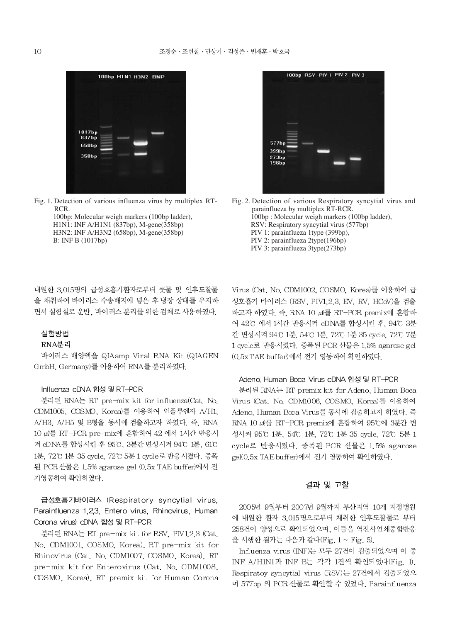

Fig. 1. Detection of various influenza virus by multiplex RT-RCR.

> 100bp: Molecular weigh markers (100bp ladder), H1N1: INF A/H1N1 (837bp), M-gene(358bp) H3N2: INF A/H3N2 (658bp), M-gene(358bp) B: INF B (1017bp)

내원한 3.015명의 급성호흡기환자로부터 콧물 및 인후도찰물 을 채취하여 바이러스 수송배지에 넣은 후 냉장 상태를 유지하 면서 실험실로 운반, 바이러스 분리를 위한 검체로 사용하였다.

#### 실험방법

#### RNA분리

바이러스 배양액을 QIAamp Viral RNA Kit (QIAGEN GmbH, Germany)를 이용하여 RNA를 분리하였다.

#### Influenza cDNA 합성 및 RT-PCR

분리된 RNA는 RT pre-mix kit for influenza(Cat. No. CDM1005, COSMO, Korea)를 이용하여 인플루엔자 A/H1, A/H3, A/H5 및 B형을 동시에 검출하고자 하였다. 즉, RNA 10 μl를 RT-PCR pre-mix에 혼합하여 42 에서 1시간 반응시 켜 cDNA를 합성시킨 후 95℃, 3분간 변성시켜 94℃ 1분, 61℃ 1분, 72℃ 1분 35 cycle, 72℃ 5분 1 cycle로 반응시켰다. 증폭 된 PCR 산물은 1.5% agarose gel (0.5x TAE buffer)에서 전 기영동하여 확인하였다.

## 급성호흡기바이러스 (Respiratory syncytial virus, Parainfluenza 1,2,3, Entero virus, Rhinovirus, Human Corona virus) dDNA 합성 및 RT-PCR

분리된 RNA는 RT pre-mix kit for RSV, PIV12,3 (Cat. No. CDM1001, COSMO, Korea), RT pre-mix kit for Rhinovirus (Cat. No. CDM1007, COSMO, Korea), RT pre-mix kit for Enterovirus (Cat. No. CDM1008, COSMO, Korea), RT premix kit for Human Corona



Fig. 2. Detection of various Respiratory syncytial virus and parainflueza by multiplex RT-RCR. 100bp: Molecular weigh markers (100bp ladder), RSV: Respiratory syncytial virus (577bp) PIV 1: parainflueza 1type (399bp), PIV 2: parainflueza 2type(196bp) PIV 3: parainflueza 3type(273bp)

Virus (Cat. No. CDM1002, COSMO, Korea)를 이용하여 급 성호흡기 바이러스 (RSV, PIV1.2.3, EV, RV, HCoV)을 검출 하고자 하였다. 즉, RNA 10  $\mu$ l를 RT-PCR premix에 혼합하 여 42°C 에서 1시간 반응시켜 cDNA를 합성시킨 후, 94°C 3분 간 변성시켜 94℃ 1분, 54℃ 1분, 72℃ 1분 35 cycle, 72℃ 7분 1 cycle로 반응시켰다. 증폭된 PCR 산물은 1.5% agarose gel (0.5x TAE buffer)에서 전기 영동하여 확인하였다.

#### Adeno. Human Boca Virus cDNA 합성 및 RT-PCR

분리된 RNA는 RT premix kit for Adeno, Human Boca Virus (Cat. No. CDM1006, COSMO, Korea)를 이용하여 Adeno, Human Boca Virus를 동시에 검출하고자 하였다. 즉 RNA 10 µl를 RT-PCR premix에 혼합하여 95℃에 3분간 변 성시켜 95℃ 1분, 54℃ 1분, 72℃ 1분 35 cycle, 72℃ 5분 1 cycle로 반응시켰다. 증폭된 PCR 산물은 1.5% agarose gel(0.5x TAE buffer)에서 전기 영동하여 확인하였다.

#### 결과 및 고찰

2005년 9월부터 2007년 9월까지 부산지역 10개 지정병원 에 내원한 환자 3.015명으로부터 채취한 인후도찰물로 부터 258건이 양성으로 확인되었으며, 이들을 역전사연쇄중합반응 을 시행한 결과는 다음과 같다(Fig. 1 ~ Fig. 5).

Influenza virus (INF)는 모두 27건이 검출되었으며 이 중 INF A/H1N1과 INF B는 각각 1건씩 확인되었다(Fig. 1). Respiratoy syncytial virus (RSV)는 27건에서 검출되었으 며 577bp 의 PCR 산물로 확인할 수 있었다. Parainfluenza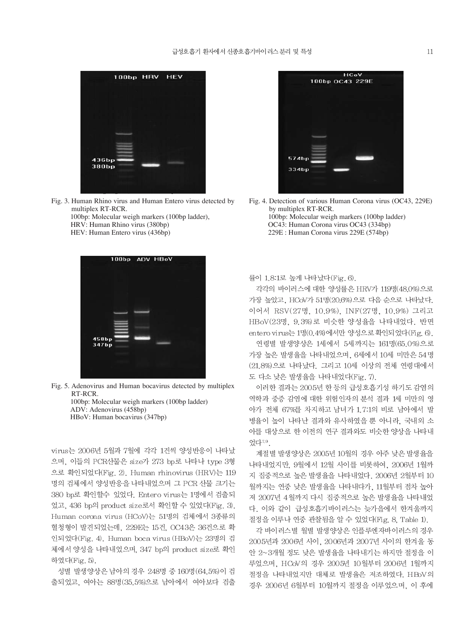

Fig. 3. Human Rhino virus and Human Entero virus detected by multiplex RT-RCR.

100bp: Molecular weigh markers (100bp ladder), HRV: Human Rhino virus (380bp) HEV: Human Entero virus (436bp)

| 100bp ADV HBoV |  |  |
|----------------|--|--|
|                |  |  |
|                |  |  |
|                |  |  |
|                |  |  |
| 458bp<br>347bp |  |  |
|                |  |  |
|                |  |  |

Fig. 5. Adenovirus and Human bocavirus detected by multiplex RT-RCR. 100bp: Molecular weigh markers (100bp ladder) ADV: Adenovirus (458bp) HBoV: Human bocavirus (347bp)

virus는 2006년 5월과 7월에 각각 1건씩 양성반응이 나타났 으며, 이들의 PCR산물은 size가 273 bp로 나타나 type 3형 으로 확인되었다(Fig. 2). Human rhinovirus (HRV)는 119 명의 검체에서 양성반응을 나타내었으며 그 PCR 산물 크기는 380 bp로 확인할수 있었다. Entero virus는 1명에서 검출되 었고, 436 bp의 product size로서 확인할 수 있었다(Fig. 3). Human corona virus (HCoV)는 51명의 검체에서 3종류의 혈청형이 발견되었는데, 229E는 15건, OC43은 36건으로 확 인되었다(Fig. 4). Human boca virus (HBoV)는 23명의 검 체에서 양성을 나타내었으며, 347 bp의 product size로 확인 하였다(Fig. 5).

성별 발생양상은 남아의 경우 248명 중 160명(64.5%)이 검 출되었고, 여아는 88명(35.5%)으로 남아에서 여아보다 검출



Fig. 4. Detection of various Human Corona virus (OC43, 229E) by multiplex RT-RCR. 100bp: Molecular weigh markers (100bp ladder) OC43: Human Corona virus OC43 (334bp) 229E : Human Corona virus 229E (574bp)

#### 률이 1.8:1로 높게 나타났다(Fig. 6).

각각의 바이러스에 대한 양성률은 HRV가 119명(48.0%)으로 가장 높았고, HCoV가 51명(20.6%)으로 다음 순으로 나타났다. 이어서 RSV(27명, 10.9%), INF(27명, 10.9%) 그리고 HBoV(23명, 9.3%)로 비슷한 양성율을 나타내었다. 반면 entero virus는 1명(0.4%)에서만 양성으로확인되었다(Fig. 6).

연령별 발생양상은 1세에서 5세까지는 161명(65.0%)으로 가장 높은 발생율을 나타내었으며, 6세에서 10세 미만은 54명 (21.8%)으로 나타났다. 그리고 10세 이상의 전체 연령대에서 도 다소 낮은 발생율을 나타내었다(Fig. 7).

이러한 결과는 2005년 한 등의 급성호흡기성 하기도 감염의 역학과 중증 감염에 대한 위험인자의 분석 결과 1세 미만의 영 아가 전체 67%를 차지하고 남녀가 1.7:1의 비로 남아에서 발 병율이 높이 나타난 결과와 유사하였을 뿐 아니라, 국내외 소 아를 대상으로 한 이전의 연구 결과와도 비슷한 양상을 나타내 었다<sup>7,9</sup>.

계절별 발생양상은 2005년 10월의 경우 아주 낮은 발생율을 나타내었지만, 9월에서 12월 사이를 비롯하여, 2006년 1월까 지 집중적으로 높은 발생율을 나타내었다. 2006년 2월부터 10 월까지는 연중 낮은 발생율을 나타내다가, 11월부터 점차 높아 져 2007년 4월까지 다시 집중적으로 높은 발생율을 나타내었 다. 이와 같이 급성호흡기바이러스는 늦가을에서 한겨울까지 절정을 이루나 연중 관찰됨을 알 수 있었다(Fig. 8, Table 1).

각 바이러스별 월별 발생양상은 인플루엔자바이러스의 경우 2005년과 2006년 사이, 2006년과 2007년 사이의 한겨울 동 안 2~3개월 정도 낮은 발생율을 나타내기는 하지만 절정을 이 루었으며, HCoV의 경우 2005년 10월부터 2006년 1월까지 절정을 나타내었지만 대체로 발생율은 저조하였다. HBoV의 경우 2006년 6월부터 10월까지 절정을 이루었으며, 이 후에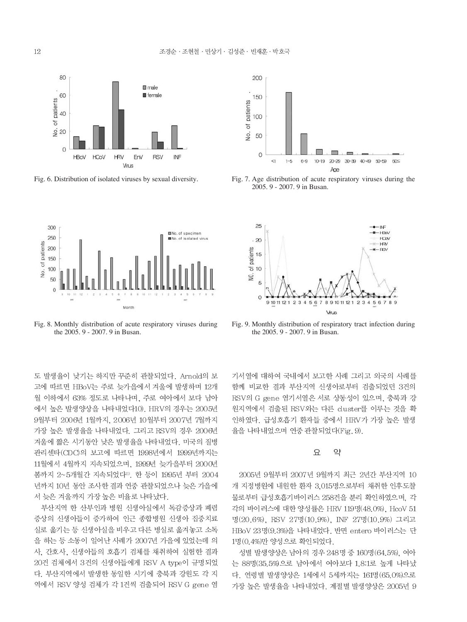



Fig. 8. Monthly distribution of acute respiratory viruses during the 2005. 9 - 2007. 9 in Busan.

도 발생율이 낮기는 하지만 꾸준히 관찰되었다. Arnold의 보 고에 따르면 HBoV는 주로 늦가을에서 겨울에 발생하며 12개 월 이하에서 63% 정도로 나타나며, 주로 여아에서 보다 남아 에서 높은 발생양상을 나타내었다10). HRV의 경우는 2005년 9월부터 2006년 1월까지, 2006년 10월부터 2007년 7월까지 가장 높은 발생율을 나타내었다. 그리고 RSV의 경우 2006년 겨울에 짧은 시기동안 낮은 발생율을 나타내었다. 미국의 질병 관리센타(CDC)의 보고에 따르면 1998년에서 1999년까지는 11월에서 4월까지 지속되었으며, 1999년 늦가을부터 2000년 봄까지 2~5개월간 지속되었다11). 한 등이 1995년 부터 2004 년까지 10년 동안 조사한 결과 연중 관찰되었으나 늦은 가을에 서 늦은 겨울까지 가장 높은 비율로 나타났다.

부산지역 한 산부인과 병원 신생아실에서 독감증상과 폐렴 증상의 신생아들이 증가하여 인근 종합병원 신생아 집중치료 실로 옮기는 등 신생아실을 비우고 다른 병실로 옮겨놓고 소독 을 하는 등 소동이 일어난 사례가 2007년 가을에 있었는데 의 사, 간호사, 신생아들의 호흡기 검체를 채취하여 실험한 결과 20건 검체에서 3건의 신생아들에게 RSV A type이 규명되었 다. 부산지역에서 발생한 동일한 시기에 충북과 강원도 각 지 역에서 RSV 양성 검체가 각 1건씩 검출되어 RSV G gene 염



Fig. 6. Distribution of isolated viruses by sexual diversity. Fig. 7. Age distribution of acute respiratory viruses during the 2005. 9 - 2007. 9 in Busan.



Fig. 9. Monthly distribution of respiratory tract infection during the 2005. 9 - 2007. 9 in Busan.

기서열에 대하여 국내에서 보고한 사례 그리고 외국의 사례를 함께 비교한 결과 부산지역 신생아로부터 검출되었던 3건의 RSV의 G gene 염기서열은 서로 상동성이 있으며, 충북과 강 원지역에서 검출된 RSV와는 다른 cluster를 이루는 것을 확 인하였다. 급성호흡기 환자들 중에서 HRV가 가장 높은 발생 율을 나타내었으며 연중 관찰되었다(Fig. 9).

#### 요 약

2005년 9월부터 2007년 9월까지 최근 2년간 부산지역 10 개 지정병원에 내원한 환자 3,015명으로부터 채취한 인후도찰 물로부터 급성호흡기바이러스 258건을 분리 확인하였으며, 각 각의 바이러스에 대한 양성률은 HRV 119명(48.0%), HcoV 51 명(20.6%), RSV 27명(10.9%), INF 27명(10.9%) 그리고 HBoV 23명(9.3%)을 나타내었다. 반면 entero 바이러스는 단 1명(0.4%)만 양성으로 확인되었다.

성별 발생양상은 남아의 경우 248명 중 160명 (64.5%), 여아 는 88명(35.5%)으로 남아에서 여아보다 1.8:1로 높게 나타났 다. 연령별 발생양상은 1세에서 5세까지는 161명(65.0%)으로 가장 높은 발생율을 나타내었다. 계절별 발생양상은 2005년 9